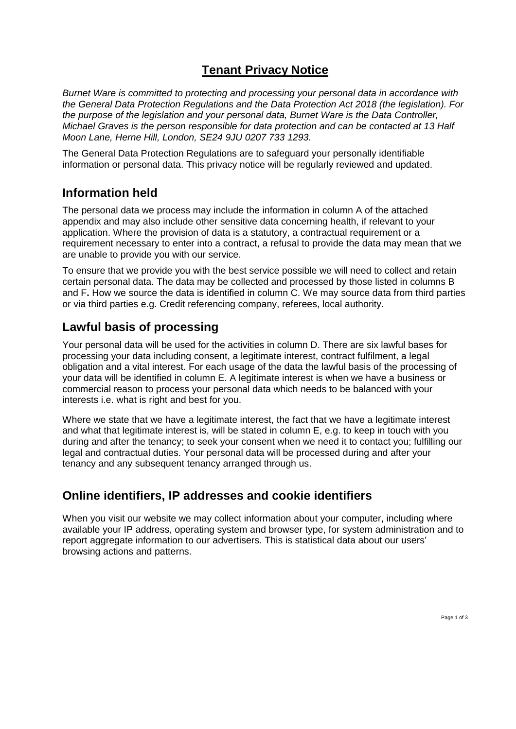# **Tenant Privacy Notice**

*Burnet Ware is committed to protecting and processing your personal data in accordance with the General Data Protection Regulations and the Data Protection Act 2018 (the legislation). For the purpose of the legislation and your personal data, Burnet Ware is the Data Controller, Michael Graves is the person responsible for data protection and can be contacted at 13 Half Moon Lane, Herne Hill, London, SE24 9JU 0207 733 1293.* 

The General Data Protection Regulations are to safeguard your personally identifiable information or personal data. This privacy notice will be regularly reviewed and updated.

#### **Information held**

The personal data we process may include the information in column A of the attached appendix and may also include other sensitive data concerning health, if relevant to your application. Where the provision of data is a statutory, a contractual requirement or a requirement necessary to enter into a contract, a refusal to provide the data may mean that we are unable to provide you with our service.

To ensure that we provide you with the best service possible we will need to collect and retain certain personal data. The data may be collected and processed by those listed in columns B and F**.** How we source the data is identified in column C. We may source data from third parties or via third parties e.g. Credit referencing company, referees, local authority.

## **Lawful basis of processing**

Your personal data will be used for the activities in column D. There are six lawful bases for processing your data including consent, a legitimate interest, contract fulfilment, a legal obligation and a vital interest. For each usage of the data the lawful basis of the processing of your data will be identified in column E. A legitimate interest is when we have a business or commercial reason to process your personal data which needs to be balanced with your interests i.e. what is right and best for you.

Where we state that we have a legitimate interest, the fact that we have a legitimate interest and what that legitimate interest is, will be stated in column E, e.g. to keep in touch with you during and after the tenancy; to seek your consent when we need it to contact you; fulfilling our legal and contractual duties. Your personal data will be processed during and after your tenancy and any subsequent tenancy arranged through us.

## **Online identifiers, IP addresses and cookie identifiers**

When you visit our website we may collect information about your computer, including where available your IP address, operating system and browser type, for system administration and to report aggregate information to our advertisers. This is statistical data about our users' browsing actions and patterns.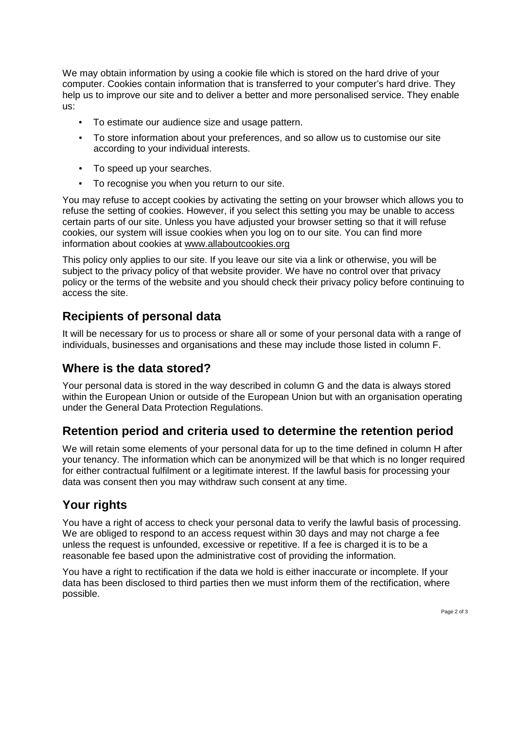We may obtain information by using a cookie file which is stored on the hard drive of your computer. Cookies contain information that is transferred to your computer's hard drive. They help us to improve our site and to deliver a better and more personalised service. They enable us:

- To estimate our audience size and usage pattern.
- To store information about your preferences, and so allow us to customise our site according to your individual interests.
- To speed up your searches.
- To recognise you when you return to our site.

You may refuse to accept cookies by activating the setting on your browser which allows you to refuse the setting of cookies. However, if you select this setting you may be unable to access certain parts of our site. Unless you have adjusted your browser setting so that it will refuse cookies, our system will issue cookies when you log on to our site. You can find more information about cookies at www.allaboutcookies.org

This policy only applies to our site. If you leave our site via a link or otherwise, you will be subject to the privacy policy of that website provider. We have no control over that privacy policy or the terms of the website and you should check their privacy policy before continuing to access the site.

## **Recipients of personal data**

It will be necessary for us to process or share all or some of your personal data with a range of individuals, businesses and organisations and these may include those listed in column F.

#### **Where is the data stored?**

Your personal data is stored in the way described in column G and the data is always stored within the European Union or outside of the European Union but with an organisation operating under the General Data Protection Regulations.

## **Retention period and criteria used to determine the retention period**

We will retain some elements of your personal data for up to the time defined in column H after your tenancy. The information which can be anonymized will be that which is no longer required for either contractual fulfilment or a legitimate interest. If the lawful basis for processing your data was consent then you may withdraw such consent at any time.

# **Your rights**

You have a right of access to check your personal data to verify the lawful basis of processing. We are obliged to respond to an access request within 30 days and may not charge a fee unless the request is unfounded, excessive or repetitive. If a fee is charged it is to be a reasonable fee based upon the administrative cost of providing the information.

You have a right to rectification if the data we hold is either inaccurate or incomplete. If your data has been disclosed to third parties then we must inform them of the rectification, where possible.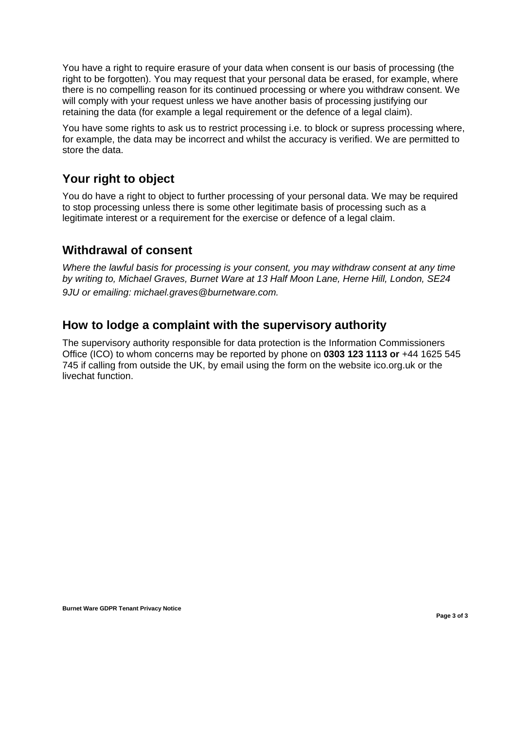You have a right to require erasure of your data when consent is our basis of processing (the right to be forgotten). You may request that your personal data be erased, for example, where there is no compelling reason for its continued processing or where you withdraw consent. We will comply with your request unless we have another basis of processing justifying our retaining the data (for example a legal requirement or the defence of a legal claim).

You have some rights to ask us to restrict processing i.e. to block or supress processing where, for example, the data may be incorrect and whilst the accuracy is verified. We are permitted to store the data.

## **Your right to object**

You do have a right to object to further processing of your personal data. We may be required to stop processing unless there is some other legitimate basis of processing such as a legitimate interest or a requirement for the exercise or defence of a legal claim.

#### **Withdrawal of consent**

*Where the lawful basis for processing is your consent, you may withdraw consent at any time by writing to, Michael Graves, Burnet Ware at 13 Half Moon Lane, Herne Hill, London, SE24 9JU or emailing: michael.graves@burnetware.com.*

#### **How to lodge a complaint with the supervisory authority**

The supervisory authority responsible for data protection is the Information Commissioners Office (ICO) to whom concerns may be reported by phone on **0303 123 1113 or** +44 1625 545 745 if calling from outside the UK, by email using the form on the website ico.org.uk or the livechat function.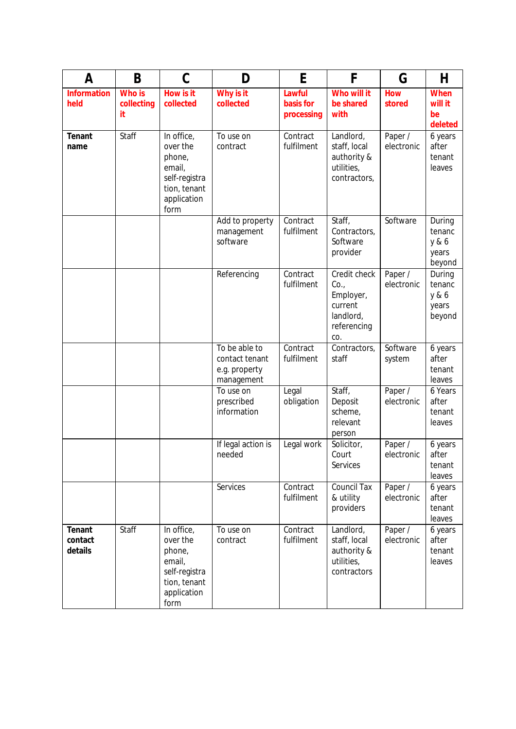| A                            | B                                 | $\mathsf C$                                                                                        | D                                                              | E                                 | F                                                                              | G                     | H                                            |
|------------------------------|-----------------------------------|----------------------------------------------------------------------------------------------------|----------------------------------------------------------------|-----------------------------------|--------------------------------------------------------------------------------|-----------------------|----------------------------------------------|
| <b>Information</b><br>held   | <b>Who is</b><br>collecting<br>it | How is it<br>collected                                                                             | Why is it<br>collected                                         | Lawful<br>basis for<br>processing | Who will it<br>be shared<br>with                                               | <b>How</b><br>stored  | <b>When</b><br>will it<br>be<br>deleted      |
| Tenant<br>name               | Staff                             | In office,<br>over the<br>phone,<br>email,<br>self-registra<br>tion, tenant<br>application<br>form | To use on<br>contract                                          | Contract<br>fulfilment            | Landlord,<br>staff, local<br>authority &<br>utilities,<br>contractors,         | Paper /<br>electronic | 6 years<br>after<br>tenant<br>leaves         |
|                              |                                   |                                                                                                    | Add to property<br>management<br>software                      | Contract<br>fulfilment            | Staff,<br>Contractors,<br>Software<br>provider                                 | Software              | During<br>tenanc<br>y & 6<br>years<br>beyond |
|                              |                                   |                                                                                                    | Referencing                                                    | Contract<br>fulfilment            | Credit check<br>Co.<br>Employer,<br>current<br>landlord,<br>referencing<br>CO. | Paper /<br>electronic | During<br>tenanc<br>y & 6<br>years<br>beyond |
|                              |                                   |                                                                                                    | To be able to<br>contact tenant<br>e.g. property<br>management | Contract<br>fulfilment            | Contractors,<br>staff                                                          | Software<br>system    | 6 years<br>after<br>tenant<br>leaves         |
|                              |                                   |                                                                                                    | To use on<br>prescribed<br>information                         | Legal<br>obligation               | Staff,<br>Deposit<br>scheme,<br>relevant<br>person                             | Paper /<br>electronic | 6 Years<br>after<br>tenant<br>leaves         |
|                              |                                   |                                                                                                    | If legal action is<br>needed                                   | Legal work                        | Solicitor,<br>Court<br>Services                                                | Paper /<br>electronic | 6 years<br>after<br>tenant<br>leaves         |
|                              |                                   |                                                                                                    | Services                                                       | Contract<br>fulfilment            | <b>Council Tax</b><br>& utility<br>providers                                   | Paper /<br>electronic | 6 years<br>after<br>tenant<br>leaves         |
| Tenant<br>contact<br>details | Staff                             | In office,<br>over the<br>phone,<br>email,<br>self-registra<br>tion, tenant<br>application<br>form | To use on<br>contract                                          | Contract<br>fulfilment            | Landlord,<br>staff, local<br>authority &<br>utilities,<br>contractors          | Paper /<br>electronic | 6 years<br>after<br>tenant<br>leaves         |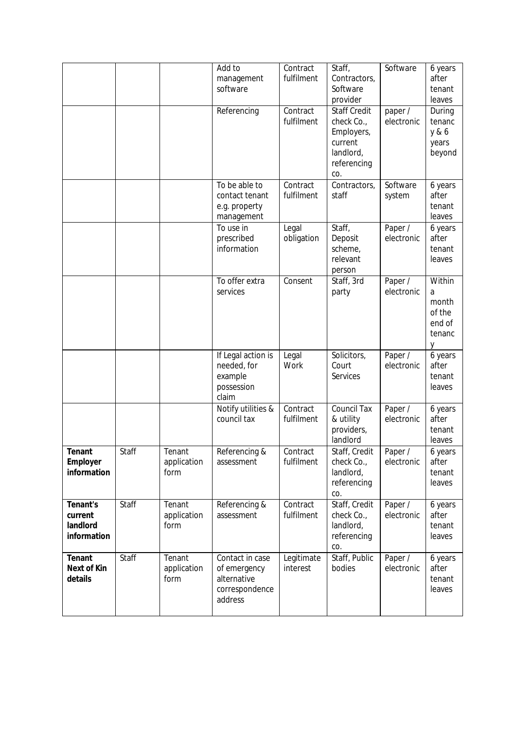|                                                |       |                               | Add to<br>management<br>software                                            | Contract<br>fulfilment | Staff,<br>Contractors,<br>Software<br>provider                                                | Software              | 6 years<br>after<br>tenant<br>leaves                    |
|------------------------------------------------|-------|-------------------------------|-----------------------------------------------------------------------------|------------------------|-----------------------------------------------------------------------------------------------|-----------------------|---------------------------------------------------------|
|                                                |       |                               | Referencing                                                                 | Contract<br>fulfilment | <b>Staff Credit</b><br>check Co.,<br>Employers,<br>current<br>landlord,<br>referencing<br>CO. | paper /<br>electronic | During<br>tenanc<br>y & 6<br>years<br>beyond            |
|                                                |       |                               | To be able to<br>contact tenant<br>e.g. property<br>management              | Contract<br>fulfilment | Contractors,<br>staff                                                                         | Software<br>system    | 6 years<br>after<br>tenant<br>leaves                    |
|                                                |       |                               | To use in<br>prescribed<br>information                                      | Legal<br>obligation    | Staff,<br>Deposit<br>scheme,<br>relevant<br>person                                            | Paper /<br>electronic | 6 years<br>after<br>tenant<br>leaves                    |
|                                                |       |                               | To offer extra<br>services                                                  | Consent                | Staff, 3rd<br>party                                                                           | Paper /<br>electronic | Within<br>a<br>month<br>of the<br>end of<br>tenanc<br>у |
|                                                |       |                               | If Legal action is<br>needed, for<br>example<br>possession<br>claim         | Legal<br>Work          | Solicitors,<br>Court<br>Services                                                              | Paper /<br>electronic | 6 years<br>after<br>tenant<br>leaves                    |
|                                                |       |                               | Notify utilities &<br>council tax                                           | Contract<br>fulfilment | <b>Council Tax</b><br>& utility<br>providers,<br>landlord                                     | Paper /<br>electronic | 6 years<br>after<br>tenant<br>leaves                    |
| Tenant<br>Employer<br>information              | Staff | Tenant<br>application<br>form | Referencing &<br>assessment                                                 | Contract<br>fulfilment | Staff, Credit<br>check Co.,<br>landlord,<br>referencing<br>CO.                                | Paper /<br>electronic | 6 years<br>after<br>tenant<br>leaves                    |
| Tenant's<br>current<br>landlord<br>information | Staff | Tenant<br>application<br>form | Referencing &<br>assessment                                                 | Contract<br>fulfilment | Staff, Credit<br>check Co.,<br>landlord,<br>referencing<br>CO.                                | Paper /<br>electronic | 6 years<br>after<br>tenant<br>leaves                    |
| Tenant<br>Next of Kin<br>details               | Staff | Tenant<br>application<br>form | Contact in case<br>of emergency<br>alternative<br>correspondence<br>address | Legitimate<br>interest | Staff, Public<br>bodies                                                                       | Paper /<br>electronic | 6 years<br>after<br>tenant<br>leaves                    |